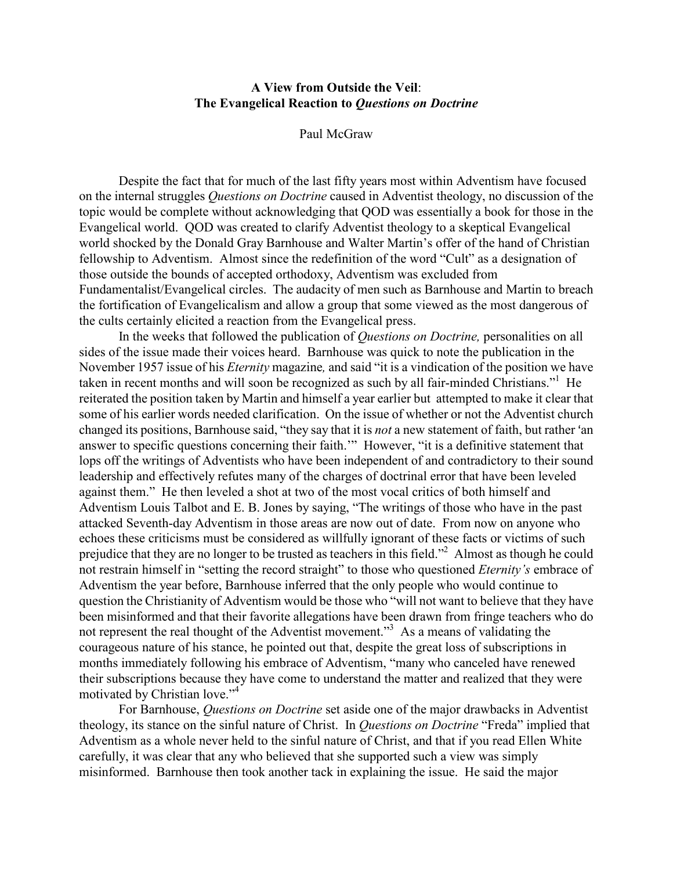## A View from Outside the Veil: The Evangelical Reaction to Questions on Doctrine

## Paul McGraw

Despite the fact that for much of the last fifty years most within Adventism have focused on the internal struggles Questions on Doctrine caused in Adventist theology, no discussion of the topic would be complete without acknowledging that QOD was essentially a book for those in the Evangelical world. QOD was created to clarify Adventist theology to a skeptical Evangelical world shocked by the Donald Gray Barnhouse and Walter Martin's offer of the hand of Christian fellowship to Adventism. Almost since the redefinition of the word "Cult" as a designation of those outside the bounds of accepted orthodoxy, Adventism was excluded from Fundamentalist/Evangelical circles. The audacity of men such as Barnhouse and Martin to breach the fortification of Evangelicalism and allow a group that some viewed as the most dangerous of the cults certainly elicited a reaction from the Evangelical press.

In the weeks that followed the publication of Questions on Doctrine, personalities on all sides of the issue made their voices heard. Barnhouse was quick to note the publication in the November 1957 issue of his *Eternity* magazine, and said "it is a vindication of the position we have taken in recent months and will soon be recognized as such by all fair-minded Christians."<sup>1</sup> He reiterated the position taken by Martin and himself a year earlier but attempted to make it clear that some of his earlier words needed clarification. On the issue of whether or not the Adventist church changed its positions, Barnhouse said, "they say that it is *not* a new statement of faith, but rather 'an answer to specific questions concerning their faith.'" However, "it is a definitive statement that lops off the writings of Adventists who have been independent of and contradictory to their sound leadership and effectively refutes many of the charges of doctrinal error that have been leveled against them." He then leveled a shot at two of the most vocal critics of both himself and Adventism Louis Talbot and E. B. Jones by saying, "The writings of those who have in the past attacked Seventh-day Adventism in those areas are now out of date. From now on anyone who echoes these criticisms must be considered as willfully ignorant of these facts or victims of such prejudice that they are no longer to be trusted as teachers in this field."<sup>2</sup> Almost as though he could not restrain himself in "setting the record straight" to those who questioned *Eternity's* embrace of Adventism the year before, Barnhouse inferred that the only people who would continue to question the Christianity of Adventism would be those who "will not want to believe that they have been misinformed and that their favorite allegations have been drawn from fringe teachers who do not represent the real thought of the Adventist movement."<sup>3</sup> As a means of validating the courageous nature of his stance, he pointed out that, despite the great loss of subscriptions in months immediately following his embrace of Adventism, "many who canceled have renewed their subscriptions because they have come to understand the matter and realized that they were motivated by Christian love."<sup>4</sup>

For Barnhouse, Questions on Doctrine set aside one of the major drawbacks in Adventist theology, its stance on the sinful nature of Christ. In Questions on Doctrine "Freda" implied that Adventism as a whole never held to the sinful nature of Christ, and that if you read Ellen White carefully, it was clear that any who believed that she supported such a view was simply misinformed. Barnhouse then took another tack in explaining the issue. He said the major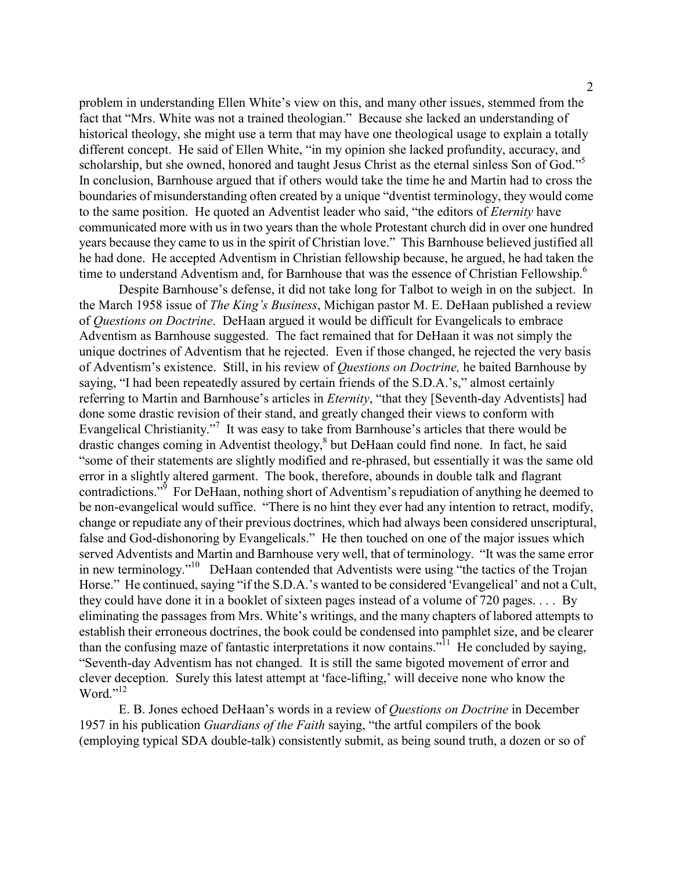problem in understanding Ellen White's view on this, and many other issues, stemmed from the fact that "Mrs. White was not a trained theologian." Because she lacked an understanding of historical theology, she might use a term that may have one theological usage to explain a totally different concept. He said of Ellen White, "in my opinion she lacked profundity, accuracy, and scholarship, but she owned, honored and taught Jesus Christ as the eternal sinless Son of God."<sup>5</sup> In conclusion, Barnhouse argued that if others would take the time he and Martin had to cross the boundaries of misunderstanding often created by a unique "dventist terminology, they would come to the same position. He quoted an Adventist leader who said, "the editors of Eternity have communicated more with us in two years than the whole Protestant church did in over one hundred years because they came to us in the spirit of Christian love." This Barnhouse believed justified all he had done. He accepted Adventism in Christian fellowship because, he argued, he had taken the time to understand Adventism and, for Barnhouse that was the essence of Christian Fellowship.<sup>6</sup>

Despite Barnhouse's defense, it did not take long for Talbot to weigh in on the subject. In the March 1958 issue of *The King's Business*, Michigan pastor M. E. DeHaan published a review of Questions on Doctrine. DeHaan argued it would be difficult for Evangelicals to embrace Adventism as Barnhouse suggested. The fact remained that for DeHaan it was not simply the unique doctrines of Adventism that he rejected. Even if those changed, he rejected the very basis of Adventism's existence. Still, in his review of Questions on Doctrine, he baited Barnhouse by saying, "I had been repeatedly assured by certain friends of the S.D.A.'s," almost certainly referring to Martin and Barnhouse's articles in *Eternity*, "that they [Seventh-day Adventists] had done some drastic revision of their stand, and greatly changed their views to conform with Evangelical Christianity."<sup>7</sup> It was easy to take from Barnhouse's articles that there would be drastic changes coming in Adventist theology,<sup>8</sup> but DeHaan could find none. In fact, he said "some of their statements are slightly modified and re-phrased, but essentially it was the same old error in a slightly altered garment. The book, therefore, abounds in double talk and flagrant contradictions."<sup>9</sup> For DeHaan, nothing short of Adventism's repudiation of anything he deemed to be non-evangelical would suffice. "There is no hint they ever had any intention to retract, modify, change or repudiate any of their previous doctrines, which had always been considered unscriptural, false and God-dishonoring by Evangelicals." He then touched on one of the major issues which served Adventists and Martin and Barnhouse very well, that of terminology. "It was the same error in new terminology."<sup>10</sup> DeHaan contended that Adventists were using "the tactics of the Trojan Horse." He continued, saying "if the S.D.A.'s wanted to be considered 'Evangelical' and not a Cult, they could have done it in a booklet of sixteen pages instead of a volume of 720 pages. . . . By eliminating the passages from Mrs. White's writings, and the many chapters of labored attempts to establish their erroneous doctrines, the book could be condensed into pamphlet size, and be clearer than the confusing maze of fantastic interpretations it now contains."<sup>11</sup> He concluded by saying, "Seventh-day Adventism has not changed. It is still the same bigoted movement of error and clever deception. Surely this latest attempt at 'face-lifting,' will deceive none who know the Word."<sup>12</sup>

E. B. Jones echoed DeHaan's words in a review of Questions on Doctrine in December 1957 in his publication Guardians of the Faith saying, "the artful compilers of the book (employing typical SDA double-talk) consistently submit, as being sound truth, a dozen or so of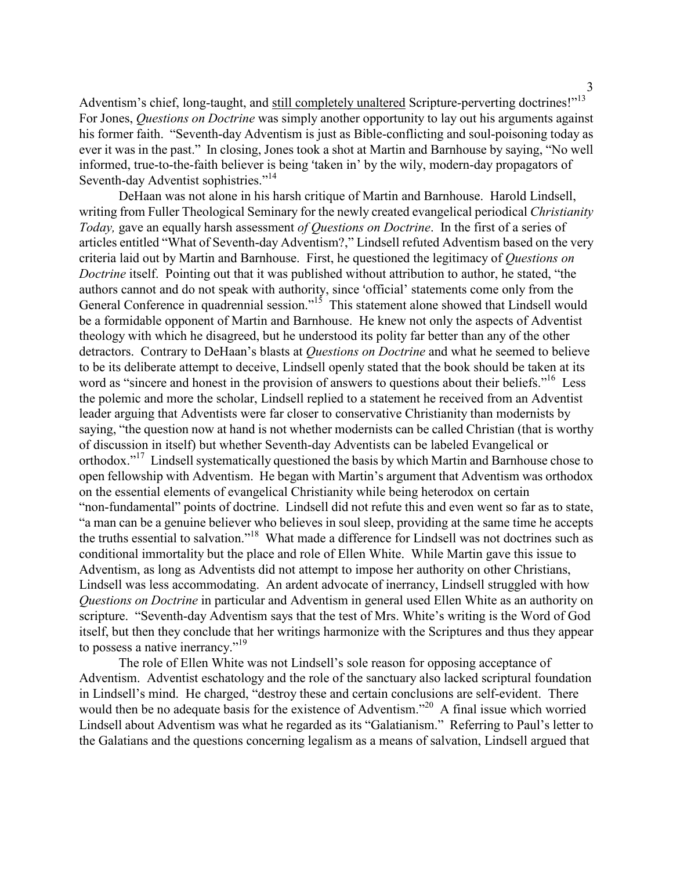Adventism's chief, long-taught, and still completely unaltered Scripture-perverting doctrines!"<sup>13</sup> For Jones, Questions on Doctrine was simply another opportunity to lay out his arguments against his former faith. "Seventh-day Adventism is just as Bible-conflicting and soul-poisoning today as ever it was in the past." In closing, Jones took a shot at Martin and Barnhouse by saying, "No well informed, true-to-the-faith believer is being 'taken in' by the wily, modern-day propagators of Seventh-day Adventist sophistries."<sup>14</sup>

DeHaan was not alone in his harsh critique of Martin and Barnhouse. Harold Lindsell, writing from Fuller Theological Seminary for the newly created evangelical periodical Christianity Today, gave an equally harsh assessment of Questions on Doctrine. In the first of a series of articles entitled "What of Seventh-day Adventism?," Lindsell refuted Adventism based on the very criteria laid out by Martin and Barnhouse. First, he questioned the legitimacy of Questions on Doctrine itself. Pointing out that it was published without attribution to author, he stated, "the authors cannot and do not speak with authority, since 'official' statements come only from the General Conference in quadrennial session."<sup>15</sup> This statement alone showed that Lindsell would be a formidable opponent of Martin and Barnhouse. He knew not only the aspects of Adventist theology with which he disagreed, but he understood its polity far better than any of the other detractors. Contrary to DeHaan's blasts at *Questions on Doctrine* and what he seemed to believe to be its deliberate attempt to deceive, Lindsell openly stated that the book should be taken at its word as "sincere and honest in the provision of answers to questions about their beliefs."<sup>16</sup> Less the polemic and more the scholar, Lindsell replied to a statement he received from an Adventist leader arguing that Adventists were far closer to conservative Christianity than modernists by saying, "the question now at hand is not whether modernists can be called Christian (that is worthy of discussion in itself) but whether Seventh-day Adventists can be labeled Evangelical or orthodox."<sup>17</sup> Lindsell systematically questioned the basis by which Martin and Barnhouse chose to open fellowship with Adventism. He began with Martin's argument that Adventism was orthodox on the essential elements of evangelical Christianity while being heterodox on certain "non-fundamental" points of doctrine. Lindsell did not refute this and even went so far as to state, "a man can be a genuine believer who believes in soul sleep, providing at the same time he accepts the truths essential to salvation."<sup>18</sup> What made a difference for Lindsell was not doctrines such as conditional immortality but the place and role of Ellen White. While Martin gave this issue to Adventism, as long as Adventists did not attempt to impose her authority on other Christians, Lindsell was less accommodating. An ardent advocate of inerrancy, Lindsell struggled with how Questions on Doctrine in particular and Adventism in general used Ellen White as an authority on scripture. "Seventh-day Adventism says that the test of Mrs. White's writing is the Word of God itself, but then they conclude that her writings harmonize with the Scriptures and thus they appear to possess a native inerrancy."<sup>19</sup>

The role of Ellen White was not Lindsell's sole reason for opposing acceptance of Adventism. Adventist eschatology and the role of the sanctuary also lacked scriptural foundation in Lindsell's mind. He charged, "destroy these and certain conclusions are self-evident. There would then be no adequate basis for the existence of Adventism.<sup>"20</sup> A final issue which worried Lindsell about Adventism was what he regarded as its "Galatianism." Referring to Paul's letter to the Galatians and the questions concerning legalism as a means of salvation, Lindsell argued that

3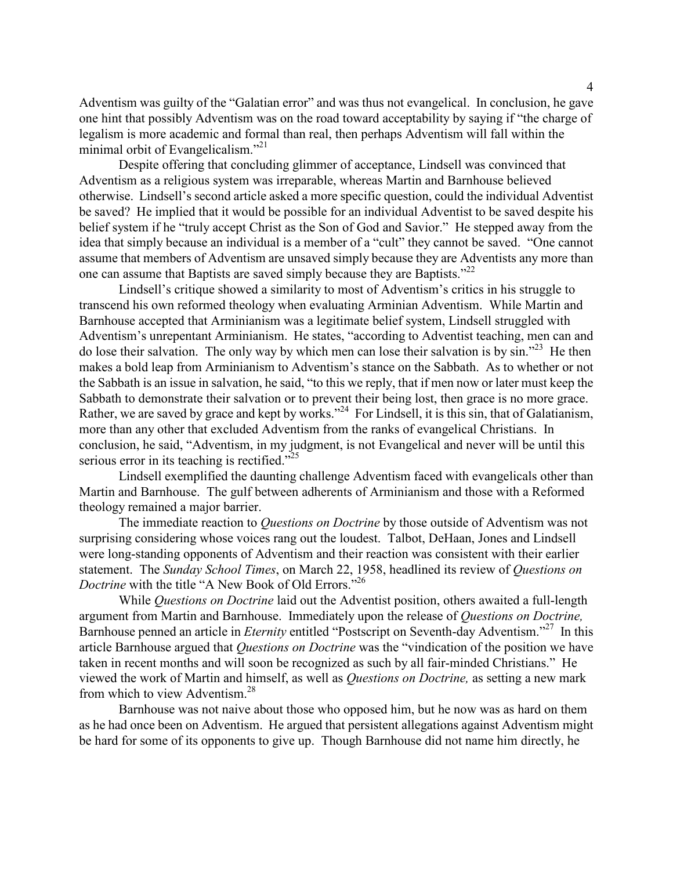Adventism was guilty of the "Galatian error" and was thus not evangelical. In conclusion, he gave one hint that possibly Adventism was on the road toward acceptability by saying if "the charge of legalism is more academic and formal than real, then perhaps Adventism will fall within the minimal orbit of Evangelicalism."<sup>21</sup>

Despite offering that concluding glimmer of acceptance, Lindsell was convinced that Adventism as a religious system was irreparable, whereas Martin and Barnhouse believed otherwise. Lindsell's second article asked a more specific question, could the individual Adventist be saved? He implied that it would be possible for an individual Adventist to be saved despite his belief system if he "truly accept Christ as the Son of God and Savior." He stepped away from the idea that simply because an individual is a member of a "cult" they cannot be saved. "One cannot assume that members of Adventism are unsaved simply because they are Adventists any more than one can assume that Baptists are saved simply because they are Baptists."<sup>22</sup>

Lindsell's critique showed a similarity to most of Adventism's critics in his struggle to transcend his own reformed theology when evaluating Arminian Adventism. While Martin and Barnhouse accepted that Arminianism was a legitimate belief system, Lindsell struggled with Adventism's unrepentant Arminianism. He states, "according to Adventist teaching, men can and do lose their salvation. The only way by which men can lose their salvation is by sin."<sup>23</sup> He then makes a bold leap from Arminianism to Adventism's stance on the Sabbath. As to whether or not the Sabbath is an issue in salvation, he said, "to this we reply, that if men now or later must keep the Sabbath to demonstrate their salvation or to prevent their being lost, then grace is no more grace. Rather, we are saved by grace and kept by works."<sup>24</sup> For Lindsell, it is this sin, that of Galatianism, more than any other that excluded Adventism from the ranks of evangelical Christians. In conclusion, he said, "Adventism, in my judgment, is not Evangelical and never will be until this serious error in its teaching is rectified."<sup>25</sup>

Lindsell exemplified the daunting challenge Adventism faced with evangelicals other than Martin and Barnhouse. The gulf between adherents of Arminianism and those with a Reformed theology remained a major barrier.

The immediate reaction to *Questions on Doctrine* by those outside of Adventism was not surprising considering whose voices rang out the loudest. Talbot, DeHaan, Jones and Lindsell were long-standing opponents of Adventism and their reaction was consistent with their earlier statement. The Sunday School Times, on March 22, 1958, headlined its review of Ouestions on Doctrine with the title "A New Book of Old Errors."<sup>26</sup>

While *Questions on Doctrine* laid out the Adventist position, others awaited a full-length argument from Martin and Barnhouse. Immediately upon the release of Questions on Doctrine, Barnhouse penned an article in *Eternity* entitled "Postscript on Seventh-day Adventism."<sup>27</sup> In this article Barnhouse argued that *Questions on Doctrine* was the "vindication of the position we have taken in recent months and will soon be recognized as such by all fair-minded Christians." He viewed the work of Martin and himself, as well as Questions on Doctrine, as setting a new mark from which to view Adventism.<sup>28</sup>

Barnhouse was not naive about those who opposed him, but he now was as hard on them as he had once been on Adventism. He argued that persistent allegations against Adventism might be hard for some of its opponents to give up. Though Barnhouse did not name him directly, he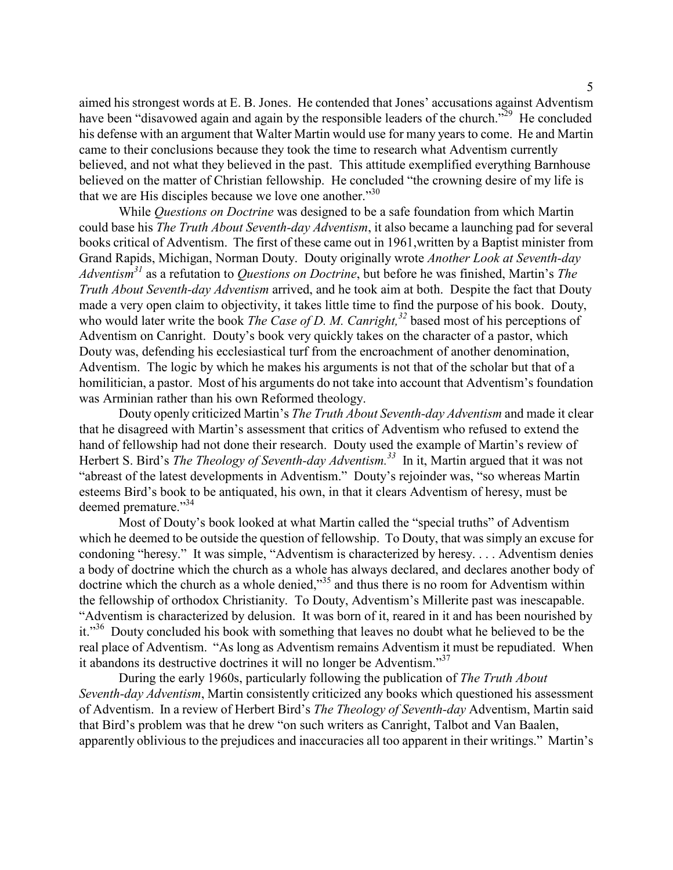aimed his strongest words at E. B. Jones. He contended that Jones' accusations against Adventism have been "disavowed again and again by the responsible leaders of the church."<sup>29</sup> He concluded his defense with an argument that Walter Martin would use for many years to come. He and Martin came to their conclusions because they took the time to research what Adventism currently believed, and not what they believed in the past. This attitude exemplified everything Barnhouse believed on the matter of Christian fellowship. He concluded "the crowning desire of my life is that we are His disciples because we love one another. $130$ 

While Questions on Doctrine was designed to be a safe foundation from which Martin could base his The Truth About Seventh-day Adventism, it also became a launching pad for several books critical of Adventism. The first of these came out in 1961,written by a Baptist minister from Grand Rapids, Michigan, Norman Douty. Douty originally wrote Another Look at Seventh-day Adventism<sup>31</sup> as a refutation to Questions on Doctrine, but before he was finished, Martin's The Truth About Seventh-day Adventism arrived, and he took aim at both. Despite the fact that Douty made a very open claim to objectivity, it takes little time to find the purpose of his book. Douty, who would later write the book *The Case of D. M. Canright*,<sup>32</sup> based most of his perceptions of Adventism on Canright. Douty's book very quickly takes on the character of a pastor, which Douty was, defending his ecclesiastical turf from the encroachment of another denomination, Adventism. The logic by which he makes his arguments is not that of the scholar but that of a homilitician, a pastor. Most of his arguments do not take into account that Adventism's foundation was Arminian rather than his own Reformed theology.

Douty openly criticized Martin's The Truth About Seventh-day Adventism and made it clear that he disagreed with Martin's assessment that critics of Adventism who refused to extend the hand of fellowship had not done their research. Douty used the example of Martin's review of Herbert S. Bird's *The Theology of Seventh-day Adventism*.<sup>33</sup> In it, Martin argued that it was not "abreast of the latest developments in Adventism." Douty's rejoinder was, "so whereas Martin esteems Bird's book to be antiquated, his own, in that it clears Adventism of heresy, must be deemed premature."<sup>34</sup>

Most of Douty's book looked at what Martin called the "special truths" of Adventism which he deemed to be outside the question of fellowship. To Douty, that was simply an excuse for condoning "heresy." It was simple, "Adventism is characterized by heresy. . . . Adventism denies a body of doctrine which the church as a whole has always declared, and declares another body of doctrine which the church as a whole denied,"<sup>35</sup> and thus there is no room for Adventism within the fellowship of orthodox Christianity. To Douty, Adventism's Millerite past was inescapable. "Adventism is characterized by delusion. It was born of it, reared in it and has been nourished by it."<sup>36</sup> Douty concluded his book with something that leaves no doubt what he believed to be the real place of Adventism. "As long as Adventism remains Adventism it must be repudiated. When it abandons its destructive doctrines it will no longer be Adventism."<sup>37</sup>

During the early 1960s, particularly following the publication of The Truth About Seventh-day Adventism, Martin consistently criticized any books which questioned his assessment of Adventism. In a review of Herbert Bird's The Theology of Seventh-day Adventism, Martin said that Bird's problem was that he drew "on such writers as Canright, Talbot and Van Baalen, apparently oblivious to the prejudices and inaccuracies all too apparent in their writings." Martin's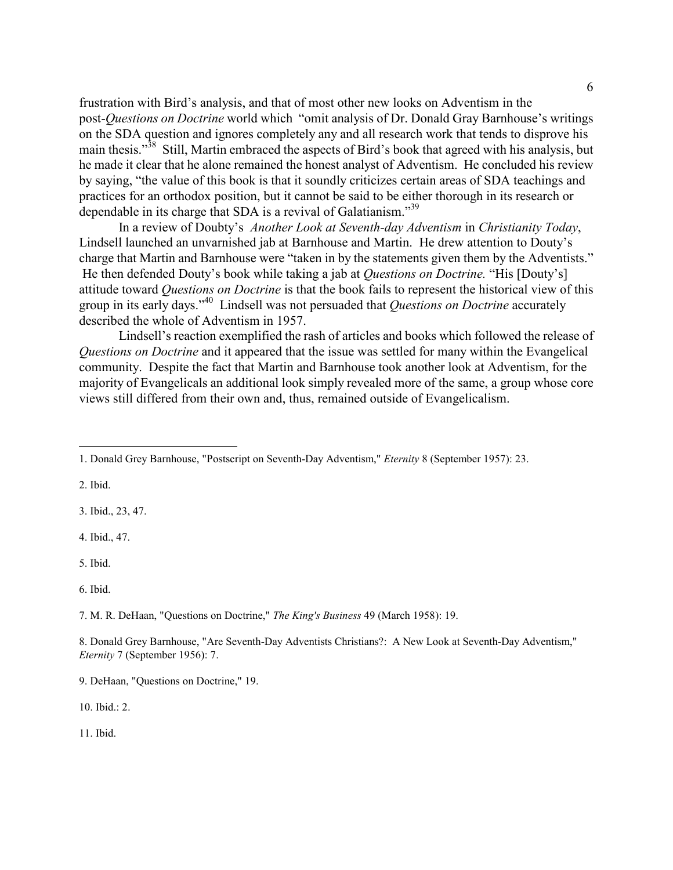frustration with Bird's analysis, and that of most other new looks on Adventism in the post-Questions on Doctrine world which "omit analysis of Dr. Donald Gray Barnhouse's writings on the SDA question and ignores completely any and all research work that tends to disprove his main thesis."<sup>38</sup> Still, Martin embraced the aspects of Bird's book that agreed with his analysis, but he made it clear that he alone remained the honest analyst of Adventism. He concluded his review by saying, "the value of this book is that it soundly criticizes certain areas of SDA teachings and practices for an orthodox position, but it cannot be said to be either thorough in its research or dependable in its charge that SDA is a revival of Galatianism.<sup>39</sup>

In a review of Doubty's Another Look at Seventh-day Adventism in Christianity Today, Lindsell launched an unvarnished jab at Barnhouse and Martin. He drew attention to Douty's charge that Martin and Barnhouse were "taken in by the statements given them by the Adventists." He then defended Douty's book while taking a jab at *Questions on Doctrine*. "His [Douty's] attitude toward Questions on Doctrine is that the book fails to represent the historical view of this group in its early days."<sup>40</sup> Lindsell was not persuaded that *Questions on Doctrine* accurately described the whole of Adventism in 1957.

Lindsell's reaction exemplified the rash of articles and books which followed the release of Questions on Doctrine and it appeared that the issue was settled for many within the Evangelical community. Despite the fact that Martin and Barnhouse took another look at Adventism, for the majority of Evangelicals an additional look simply revealed more of the same, a group whose core views still differed from their own and, thus, remained outside of Evangelicalism.

2. Ibid.

-

3. Ibid., 23, 47.

4. Ibid., 47.

5. Ibid.

6. Ibid.

7. M. R. DeHaan, "Questions on Doctrine," The King's Business 49 (March 1958): 19.

8. Donald Grey Barnhouse, "Are Seventh-Day Adventists Christians?: A New Look at Seventh-Day Adventism," Eternity 7 (September 1956): 7.

10. Ibid.: 2.

11. Ibid.

<sup>1.</sup> Donald Grey Barnhouse, "Postscript on Seventh-Day Adventism," Eternity 8 (September 1957): 23.

<sup>9.</sup> DeHaan, "Questions on Doctrine," 19.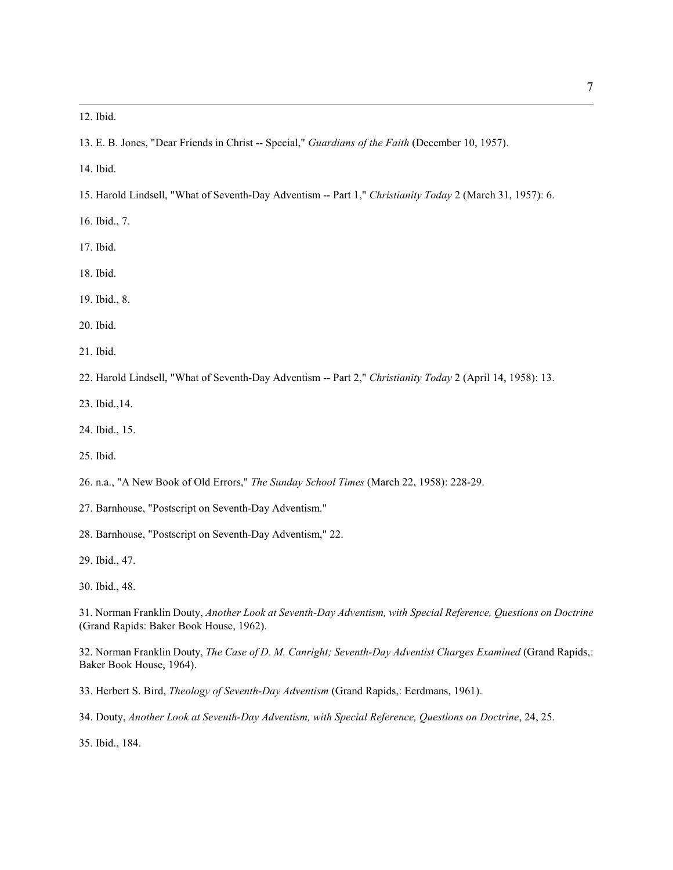12. Ibid.

-

13. E. B. Jones, "Dear Friends in Christ -- Special," Guardians of the Faith (December 10, 1957).

14. Ibid.

- 15. Harold Lindsell, "What of Seventh-Day Adventism -- Part 1," Christianity Today 2 (March 31, 1957): 6.
- 16. Ibid., 7.
- 17. Ibid.
- 18. Ibid.
- 19. Ibid., 8.
- 20. Ibid.
- 21. Ibid.
- 22. Harold Lindsell, "What of Seventh-Day Adventism -- Part 2," Christianity Today 2 (April 14, 1958): 13.
- 23. Ibid.,14.
- 24. Ibid., 15.
- 25. Ibid.
- 26. n.a., "A New Book of Old Errors," The Sunday School Times (March 22, 1958): 228-29.
- 27. Barnhouse, "Postscript on Seventh-Day Adventism."
- 28. Barnhouse, "Postscript on Seventh-Day Adventism," 22.
- 29. Ibid., 47.
- 30. Ibid., 48.

31. Norman Franklin Douty, Another Look at Seventh-Day Adventism, with Special Reference, Questions on Doctrine (Grand Rapids: Baker Book House, 1962).

32. Norman Franklin Douty, The Case of D. M. Canright; Seventh-Day Adventist Charges Examined (Grand Rapids,: Baker Book House, 1964).

33. Herbert S. Bird, Theology of Seventh-Day Adventism (Grand Rapids,: Eerdmans, 1961).

34. Douty, Another Look at Seventh-Day Adventism, with Special Reference, Questions on Doctrine, 24, 25.

35. Ibid., 184.